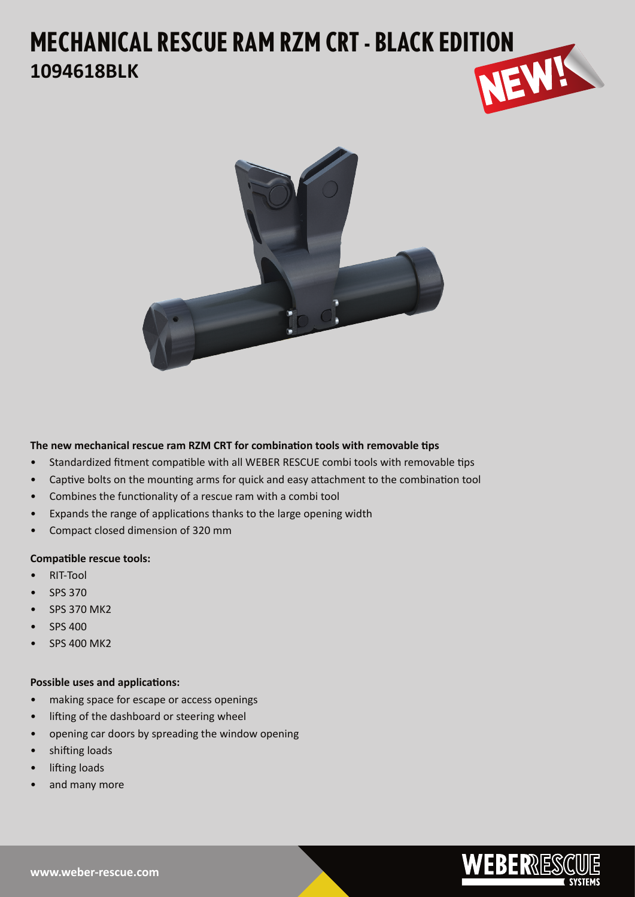# **MECHANICAL RESCUE RAM RZM CRT - BLACK EDITION 1094618BLK 1094618BLK**



**The new mechanical rescue ram RZM CRT for combination tools with removable tips**

- Standardized fitment compatible with all WEBER RESCUE combi tools with removable tips
- Captive bolts on the mounting arms for quick and easy attachment to the combination tool
- Combines the functionality of a rescue ram with a combi tool
- Expands the range of applications thanks to the large opening width
- Compact closed dimension of 320 mm

## **Compatible rescue tools:**

- RIT-Tool
- SPS 370
- SPS 370 MK2
- SPS 400
- SPS 400 MK2

## **Possible uses and applications:**

- making space for escape or access openings
- lifting of the dashboard or steering wheel
- opening car doors by spreading the window opening
- shifting loads
- lifting loads
- and many more